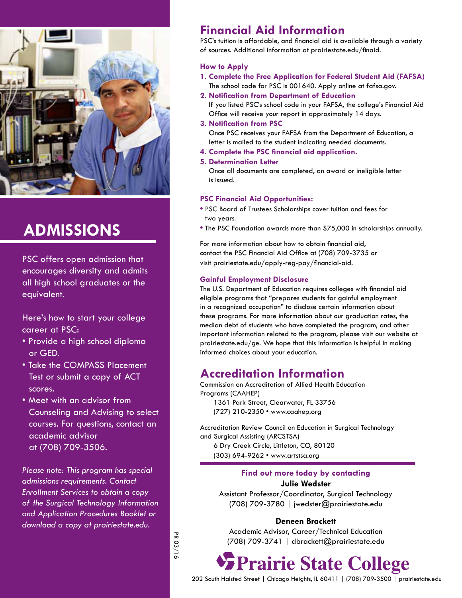

# **Admissions**

PSC offers open admission that encourages diversity and admits all high school graduates or the equivalent.

Here's how to start your college career at PSC:

- Provide a high school diploma or GED.
- Take the COMPASS Placement Test or submit a copy of ACT scores.
- Meet with an advisor from Counseling and Advising to select courses. For questions, contact an academic advisor at (708) 709-3506.

*Please note: This program has special admissions requirements. Contact Enrollment Services to obtain a copy of the Surgical Technology Information and Application Procedures Booklet or download a copy at prairiestate.edu.*

# **Financial Aid Information**

PSC's tuition is affordable, and financial aid is available through a variety of sources. Additional information at prairiestate.edu/finaid.

## **How to Apply**

- **1. Complete the Free Application for Federal Student Aid (FAFSA)** The school code for PSC is 001640. Apply online at fafsa.gov.
- **2. Notification from Department of Education**

If you listed PSC's school code in your FAFSA, the college's Financial Aid Office will receive your report in approximately 14 days.

### **3. Notification from PSC**

Once PSC receives your FAFSA from the Department of Education, a letter is mailed to the student indicating needed documents.

**4. Complete the PSC financial aid application.**

## **5. Determination Letter**

Once all documents are completed, an award or ineligible letter is issued.

## **PSC Financial Aid Opportunities:**

- **•** PSC Board of Trustees Scholarships cover tuition and fees for two years.
- **•** The PSC Foundation awards more than \$75,000 in scholarships annually.

For more information about how to obtain financial aid, contact the PSC Financial Aid Office at (708) 709-3735 or visit prairiestate.edu/apply-reg-pay/financial-aid.

## **Gainful Employment Disclosure**

The U.S. Department of Education requires colleges with financial aid eligible programs that "prepares students for gainful employment in a recognized occupation" to disclose certain information about these programs. For more information about our graduation rates, the median debt of students who have completed the program, and other important information related to the program, please visit our website at prairiestate.edu/ge. We hope that this information is helpful in making informed choices about your education.

## **Accreditation Information**

Commission on Accreditation of Allied Health Education Programs (CAAHEP) 1361 Park Street, Clearwater, FL 33756 (727) 210-2350 • www.caahep.org

Accreditation Review Council on Education in Surgical Technology and Surgical Assisting (ARCSTSA) 6 Dry Creek Circle, Littleton, CO, 80120

(303) 694-9262 • www.artstsa.org

### **Find out more today by contacting Julie Wedster**

Assistant Professor/Coordinator, Surgical Technology (708) 709-3780 | jwedster@prairiestate.edu

## **Deneen Brackett**

Academic Advisor, Career/Technical Education (708) 709-3741 | dbrackett@prairiestate.edu

**SPrairie State College** 

202 South Halsted Street | Chicago Heights, IL 60411 | (708) 709-3500 | prairiestate.edu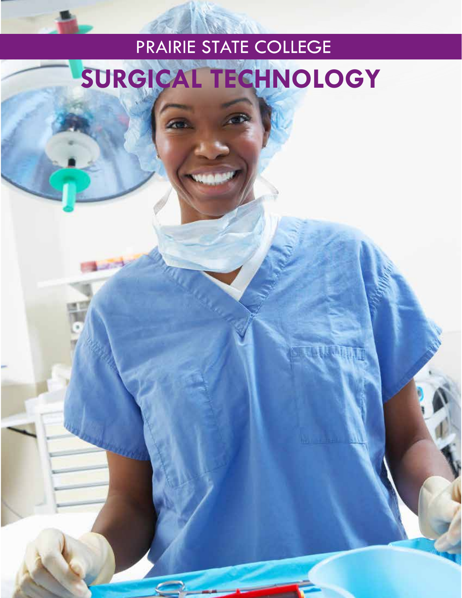# PRAIRIE STATE COLLEGE **Surgical Technology**

**THE CHANNE**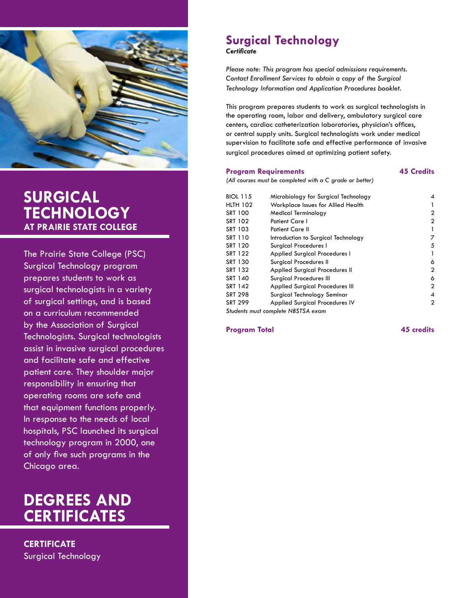

# **Surgical Technology at Prairie State College**

The Prairie State College (PSC) Surgical Technology program prepares students to work as surgical technologists in a variety of surgical settings, and is based on a curriculum recommended by the Association of Surgical Technologists. Surgical technologists assist in invasive surgical procedures and facilitate safe and effective patient care. They shoulder major responsibility in ensuring that operating rooms are safe and that equipment functions properly. In response to the needs of local hospitals, PSC launched its surgical technology program in 2000, one of only five such programs in the Chicago area.

# **degrees and certificates**

**Certificate** Surgical Technology

## **Surgical Technology** *Certificate*

*Please note: This program has special admissions requirements. Contact Enrollment Services to obtain a copy of the Surgical Technology Information and Application Procedures booklet.*

This program prepares students to work as surgical technologists in the operating room, labor and delivery, ambulatory surgical care centers, cardiac catheterization laboratories, physician's offices, or central supply units. Surgical technologists work under medical supervision to facilitate safe and effective performance of invasive surgical procedures aimed at optimizing patient safety.

#### **Program Requirements 45 Credits**

*(All courses must be completed with a C grade or better)*

| <b>BIOL 115</b> | Microbiology for Surgical Technology  | 4            |
|-----------------|---------------------------------------|--------------|
| <b>HLTH 102</b> | Workplace Issues for Allied Health    |              |
| <b>SRT 100</b>  | Medical Terminology                   | 2            |
| SRT 102         | <b>Patient Care I</b>                 | $\mathbf{2}$ |
| SRT 103         | <b>Patient Care II</b>                |              |
| SRT 110         | Introduction to Surgical Technology   | 7            |
| SRT 120         | Surgical Procedures I                 | 5            |
| SRT 122         | Applied Surgical Procedures I         | 1            |
| SRT 130         | Surgical Procedures II                | 6            |
| SRT 132         | Applied Surgical Procedures II        | 2            |
| SRT 140         | Surgical Procedures III               | 6            |
| SRT 142         | Applied Surgical Procedures III       | $\mathbf{2}$ |
| <b>SRT 298</b>  | Surgical Technology Seminar           | 4            |
| <b>SRT 299</b>  | <b>Applied Surgical Procedures IV</b> | $\mathbf{2}$ |
|                 | Students must complete NBSTSA exam    |              |

**Program Total 45 credits**